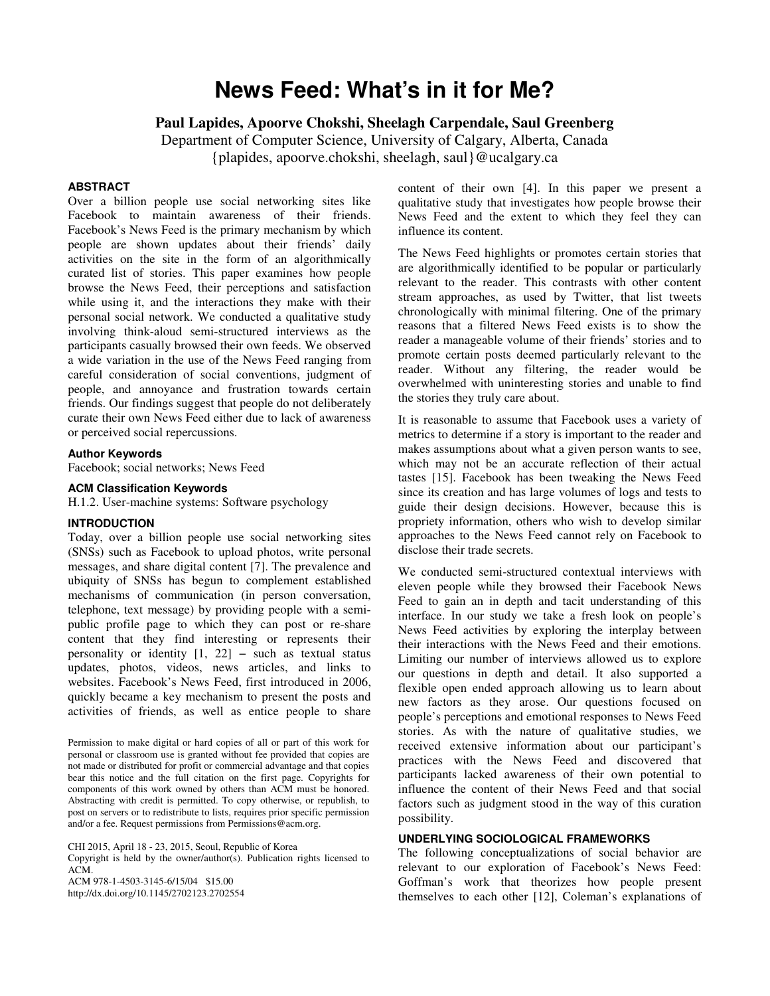# **News Feed: What's in it for Me?**

**Paul Lapides, Apoorve Chokshi, Sheelagh Carpendale, Saul Greenberg** 

Department of Computer Science, University of Calgary, Alberta, Canada

{plapides, apoorve.chokshi, sheelagh, saul}@ucalgary.ca

# **ABSTRACT**

Over a billion people use social networking sites like Facebook to maintain awareness of their friends. Facebook's News Feed is the primary mechanism by which people are shown updates about their friends' daily activities on the site in the form of an algorithmically curated list of stories. This paper examines how people browse the News Feed, their perceptions and satisfaction while using it, and the interactions they make with their personal social network. We conducted a qualitative study involving think-aloud semi-structured interviews as the participants casually browsed their own feeds. We observed a wide variation in the use of the News Feed ranging from careful consideration of social conventions, judgment of people, and annoyance and frustration towards certain friends. Our findings suggest that people do not deliberately curate their own News Feed either due to lack of awareness or perceived social repercussions.

#### **Author Keywords**

Facebook; social networks; News Feed

#### **ACM Classification Keywords**

H.1.2. User-machine systems: Software psychology

#### **INTRODUCTION**

Today, over a billion people use social networking sites (SNSs) such as Facebook to upload photos, write personal messages, and share digital content [7]. The prevalence and ubiquity of SNSs has begun to complement established mechanisms of communication (in person conversation, telephone, text message) by providing people with a semipublic profile page to which they can post or re-share content that they find interesting or represents their personality or identity  $[1, 22]$  – such as textual status updates, photos, videos, news articles, and links to websites. Facebook's News Feed, first introduced in 2006, quickly became a key mechanism to present the posts and activities of friends, as well as entice people to share

Permission to make digital or hard copies of all or part of this work for personal or classroom use is granted without fee provided that copies are not made or distributed for profit or commercial advantage and that copies bear this notice and the full citation on the first page. Copyrights for components of this work owned by others than ACM must be honored. Abstracting with credit is permitted. To copy otherwise, or republish, to post on servers or to redistribute to lists, requires prior specific permission and/or a fee. Request permissions from Permissions@acm.org.

CHI 2015, April 18 - 23, 2015, Seoul, Republic of Korea

Copyright is held by the owner/author(s). Publication rights licensed to ACM. ACM 978-1-4503-3145-6/15/04 \$15.00

http://dx.doi.org/10.1145/2702123.2702554

content of their own [4]. In this paper we present a qualitative study that investigates how people browse their News Feed and the extent to which they feel they can influence its content.

The News Feed highlights or promotes certain stories that are algorithmically identified to be popular or particularly relevant to the reader. This contrasts with other content stream approaches, as used by Twitter, that list tweets chronologically with minimal filtering. One of the primary reasons that a filtered News Feed exists is to show the reader a manageable volume of their friends' stories and to promote certain posts deemed particularly relevant to the reader. Without any filtering, the reader would be overwhelmed with uninteresting stories and unable to find the stories they truly care about.

It is reasonable to assume that Facebook uses a variety of metrics to determine if a story is important to the reader and makes assumptions about what a given person wants to see, which may not be an accurate reflection of their actual tastes [15]. Facebook has been tweaking the News Feed since its creation and has large volumes of logs and tests to guide their design decisions. However, because this is propriety information, others who wish to develop similar approaches to the News Feed cannot rely on Facebook to disclose their trade secrets.

We conducted semi-structured contextual interviews with eleven people while they browsed their Facebook News Feed to gain an in depth and tacit understanding of this interface. In our study we take a fresh look on people's News Feed activities by exploring the interplay between their interactions with the News Feed and their emotions. Limiting our number of interviews allowed us to explore our questions in depth and detail. It also supported a flexible open ended approach allowing us to learn about new factors as they arose. Our questions focused on people's perceptions and emotional responses to News Feed stories. As with the nature of qualitative studies, we received extensive information about our participant's practices with the News Feed and discovered that participants lacked awareness of their own potential to influence the content of their News Feed and that social factors such as judgment stood in the way of this curation possibility.

# **UNDERLYING SOCIOLOGICAL FRAMEWORKS**

The following conceptualizations of social behavior are relevant to our exploration of Facebook's News Feed: Goffman's work that theorizes how people present themselves to each other [12], Coleman's explanations of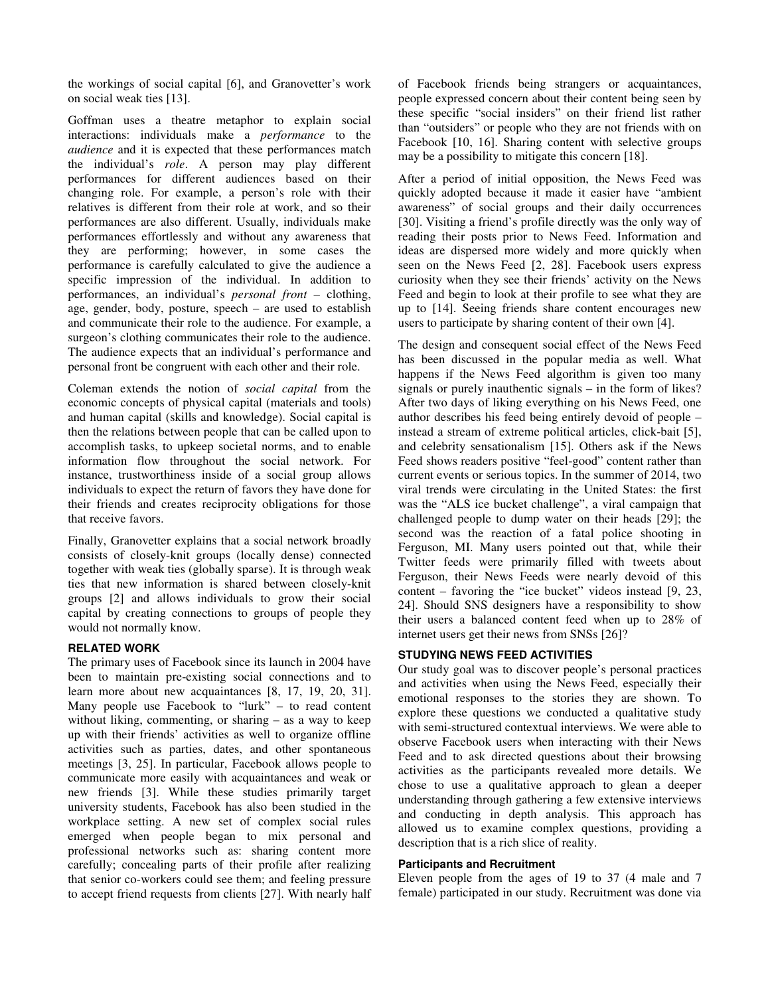the workings of social capital [6], and Granovetter's work on social weak ties [13].

Goffman uses a theatre metaphor to explain social interactions: individuals make a *performance* to the *audience* and it is expected that these performances match the individual's *role*. A person may play different performances for different audiences based on their changing role. For example, a person's role with their relatives is different from their role at work, and so their performances are also different. Usually, individuals make performances effortlessly and without any awareness that they are performing; however, in some cases the performance is carefully calculated to give the audience a specific impression of the individual. In addition to performances, an individual's *personal front* – clothing, age, gender, body, posture, speech – are used to establish and communicate their role to the audience. For example, a surgeon's clothing communicates their role to the audience. The audience expects that an individual's performance and personal front be congruent with each other and their role.

Coleman extends the notion of *social capital* from the economic concepts of physical capital (materials and tools) and human capital (skills and knowledge). Social capital is then the relations between people that can be called upon to accomplish tasks, to upkeep societal norms, and to enable information flow throughout the social network. For instance, trustworthiness inside of a social group allows individuals to expect the return of favors they have done for their friends and creates reciprocity obligations for those that receive favors.

Finally, Granovetter explains that a social network broadly consists of closely-knit groups (locally dense) connected together with weak ties (globally sparse). It is through weak ties that new information is shared between closely-knit groups [2] and allows individuals to grow their social capital by creating connections to groups of people they would not normally know.

# **RELATED WORK**

The primary uses of Facebook since its launch in 2004 have been to maintain pre-existing social connections and to learn more about new acquaintances [8, 17, 19, 20, 31]. Many people use Facebook to "lurk" – to read content without liking, commenting, or sharing – as a way to keep up with their friends' activities as well to organize offline activities such as parties, dates, and other spontaneous meetings [3, 25]. In particular, Facebook allows people to communicate more easily with acquaintances and weak or new friends [3]. While these studies primarily target university students, Facebook has also been studied in the workplace setting. A new set of complex social rules emerged when people began to mix personal and professional networks such as: sharing content more carefully; concealing parts of their profile after realizing that senior co-workers could see them; and feeling pressure to accept friend requests from clients [27]. With nearly half of Facebook friends being strangers or acquaintances, people expressed concern about their content being seen by these specific "social insiders" on their friend list rather than "outsiders" or people who they are not friends with on Facebook [10, 16]. Sharing content with selective groups may be a possibility to mitigate this concern [18].

After a period of initial opposition, the News Feed was quickly adopted because it made it easier have "ambient awareness" of social groups and their daily occurrences [30]. Visiting a friend's profile directly was the only way of reading their posts prior to News Feed. Information and ideas are dispersed more widely and more quickly when seen on the News Feed [2, 28]. Facebook users express curiosity when they see their friends' activity on the News Feed and begin to look at their profile to see what they are up to [14]. Seeing friends share content encourages new users to participate by sharing content of their own [4].

The design and consequent social effect of the News Feed has been discussed in the popular media as well. What happens if the News Feed algorithm is given too many signals or purely inauthentic signals – in the form of likes? After two days of liking everything on his News Feed, one author describes his feed being entirely devoid of people – instead a stream of extreme political articles, click-bait [5], and celebrity sensationalism [15]. Others ask if the News Feed shows readers positive "feel-good" content rather than current events or serious topics. In the summer of 2014, two viral trends were circulating in the United States: the first was the "ALS ice bucket challenge", a viral campaign that challenged people to dump water on their heads [29]; the second was the reaction of a fatal police shooting in Ferguson, MI. Many users pointed out that, while their Twitter feeds were primarily filled with tweets about Ferguson, their News Feeds were nearly devoid of this content – favoring the "ice bucket" videos instead [9, 23, 24]. Should SNS designers have a responsibility to show their users a balanced content feed when up to 28% of internet users get their news from SNSs [26]?

# **STUDYING NEWS FEED ACTIVITIES**

Our study goal was to discover people's personal practices and activities when using the News Feed, especially their emotional responses to the stories they are shown. To explore these questions we conducted a qualitative study with semi-structured contextual interviews. We were able to observe Facebook users when interacting with their News Feed and to ask directed questions about their browsing activities as the participants revealed more details. We chose to use a qualitative approach to glean a deeper understanding through gathering a few extensive interviews and conducting in depth analysis. This approach has allowed us to examine complex questions, providing a description that is a rich slice of reality.

# **Participants and Recruitment**

Eleven people from the ages of 19 to 37 (4 male and 7 female) participated in our study. Recruitment was done via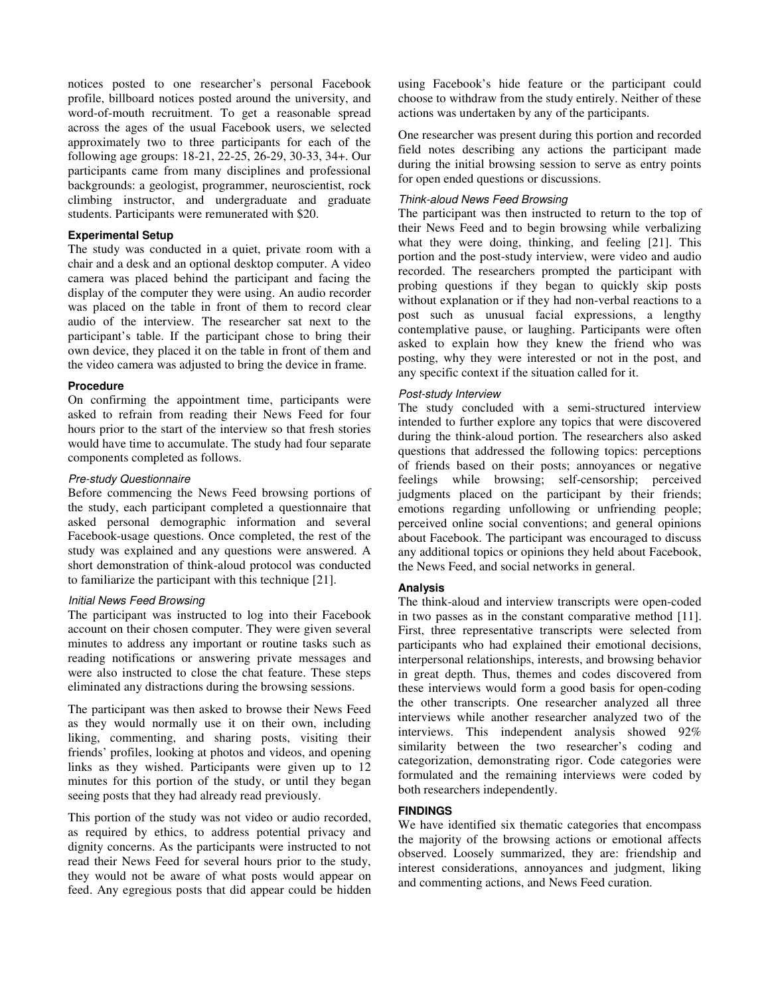notices posted to one researcher's personal Facebook profile, billboard notices posted around the university, and word-of-mouth recruitment. To get a reasonable spread across the ages of the usual Facebook users, we selected approximately two to three participants for each of the following age groups: 18-21, 22-25, 26-29, 30-33, 34+. Our participants came from many disciplines and professional backgrounds: a geologist, programmer, neuroscientist, rock climbing instructor, and undergraduate and graduate students. Participants were remunerated with \$20.

#### **Experimental Setup**

The study was conducted in a quiet, private room with a chair and a desk and an optional desktop computer. A video camera was placed behind the participant and facing the display of the computer they were using. An audio recorder was placed on the table in front of them to record clear audio of the interview. The researcher sat next to the participant's table. If the participant chose to bring their own device, they placed it on the table in front of them and the video camera was adjusted to bring the device in frame.

# **Procedure**

On confirming the appointment time, participants were asked to refrain from reading their News Feed for four hours prior to the start of the interview so that fresh stories would have time to accumulate. The study had four separate components completed as follows.

# Pre-study Questionnaire

Before commencing the News Feed browsing portions of the study, each participant completed a questionnaire that asked personal demographic information and several Facebook-usage questions. Once completed, the rest of the study was explained and any questions were answered. A short demonstration of think-aloud protocol was conducted to familiarize the participant with this technique [21].

# Initial News Feed Browsing

The participant was instructed to log into their Facebook account on their chosen computer. They were given several minutes to address any important or routine tasks such as reading notifications or answering private messages and were also instructed to close the chat feature. These steps eliminated any distractions during the browsing sessions.

The participant was then asked to browse their News Feed as they would normally use it on their own, including liking, commenting, and sharing posts, visiting their friends' profiles, looking at photos and videos, and opening links as they wished. Participants were given up to 12 minutes for this portion of the study, or until they began seeing posts that they had already read previously.

This portion of the study was not video or audio recorded, as required by ethics, to address potential privacy and dignity concerns. As the participants were instructed to not read their News Feed for several hours prior to the study, they would not be aware of what posts would appear on feed. Any egregious posts that did appear could be hidden

using Facebook's hide feature or the participant could choose to withdraw from the study entirely. Neither of these actions was undertaken by any of the participants.

One researcher was present during this portion and recorded field notes describing any actions the participant made during the initial browsing session to serve as entry points for open ended questions or discussions.

# Think-aloud News Feed Browsing

The participant was then instructed to return to the top of their News Feed and to begin browsing while verbalizing what they were doing, thinking, and feeling [21]. This portion and the post-study interview, were video and audio recorded. The researchers prompted the participant with probing questions if they began to quickly skip posts without explanation or if they had non-verbal reactions to a post such as unusual facial expressions, a lengthy contemplative pause, or laughing. Participants were often asked to explain how they knew the friend who was posting, why they were interested or not in the post, and any specific context if the situation called for it.

# Post-study Interview

The study concluded with a semi-structured interview intended to further explore any topics that were discovered during the think-aloud portion. The researchers also asked questions that addressed the following topics: perceptions of friends based on their posts; annoyances or negative feelings while browsing; self-censorship; perceived judgments placed on the participant by their friends; emotions regarding unfollowing or unfriending people; perceived online social conventions; and general opinions about Facebook. The participant was encouraged to discuss any additional topics or opinions they held about Facebook, the News Feed, and social networks in general.

# **Analysis**

The think-aloud and interview transcripts were open-coded in two passes as in the constant comparative method [11]. First, three representative transcripts were selected from participants who had explained their emotional decisions, interpersonal relationships, interests, and browsing behavior in great depth. Thus, themes and codes discovered from these interviews would form a good basis for open-coding the other transcripts. One researcher analyzed all three interviews while another researcher analyzed two of the interviews. This independent analysis showed 92% similarity between the two researcher's coding and categorization, demonstrating rigor. Code categories were formulated and the remaining interviews were coded by both researchers independently.

# **FINDINGS**

We have identified six thematic categories that encompass the majority of the browsing actions or emotional affects observed. Loosely summarized, they are: friendship and interest considerations, annoyances and judgment, liking and commenting actions, and News Feed curation.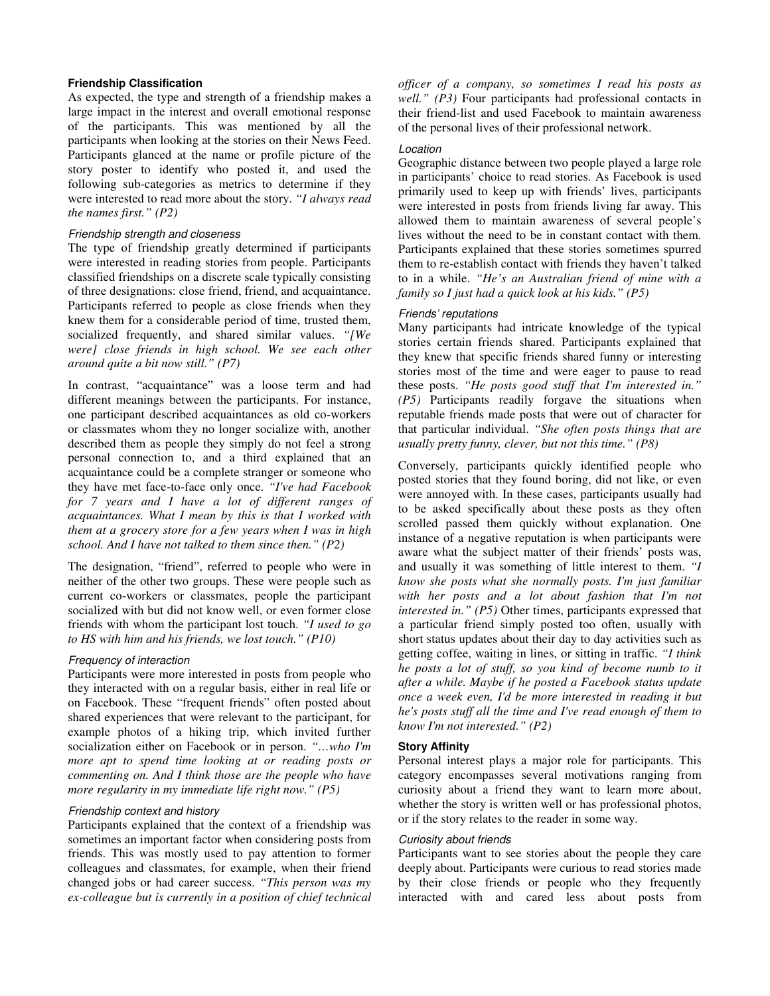#### **Friendship Classification**

As expected, the type and strength of a friendship makes a large impact in the interest and overall emotional response of the participants. This was mentioned by all the participants when looking at the stories on their News Feed. Participants glanced at the name or profile picture of the story poster to identify who posted it, and used the following sub-categories as metrics to determine if they were interested to read more about the story. *"I always read the names first." (P2)*

#### Friendship strength and closeness

The type of friendship greatly determined if participants were interested in reading stories from people. Participants classified friendships on a discrete scale typically consisting of three designations: close friend, friend, and acquaintance. Participants referred to people as close friends when they knew them for a considerable period of time, trusted them, socialized frequently, and shared similar values. *"[We were] close friends in high school. We see each other around quite a bit now still." (P7)*

In contrast, "acquaintance" was a loose term and had different meanings between the participants. For instance, one participant described acquaintances as old co-workers or classmates whom they no longer socialize with, another described them as people they simply do not feel a strong personal connection to, and a third explained that an acquaintance could be a complete stranger or someone who they have met face-to-face only once. *"I've had Facebook for 7 years and I have a lot of different ranges of acquaintances. What I mean by this is that I worked with them at a grocery store for a few years when I was in high school. And I have not talked to them since then." (P2)*

The designation, "friend", referred to people who were in neither of the other two groups. These were people such as current co-workers or classmates, people the participant socialized with but did not know well, or even former close friends with whom the participant lost touch. *"I used to go to HS with him and his friends, we lost touch." (P10)*

#### Frequency of interaction

Participants were more interested in posts from people who they interacted with on a regular basis, either in real life or on Facebook. These "frequent friends" often posted about shared experiences that were relevant to the participant, for example photos of a hiking trip, which invited further socialization either on Facebook or in person. *"…who I'm more apt to spend time looking at or reading posts or commenting on. And I think those are the people who have more regularity in my immediate life right now." (P5)* 

# Friendship context and history

Participants explained that the context of a friendship was sometimes an important factor when considering posts from friends. This was mostly used to pay attention to former colleagues and classmates, for example, when their friend changed jobs or had career success. *"This person was my ex-colleague but is currently in a position of chief technical*  *officer of a company, so sometimes I read his posts as well." (P3)* Four participants had professional contacts in their friend-list and used Facebook to maintain awareness of the personal lives of their professional network.

#### Location

Geographic distance between two people played a large role in participants' choice to read stories. As Facebook is used primarily used to keep up with friends' lives, participants were interested in posts from friends living far away. This allowed them to maintain awareness of several people's lives without the need to be in constant contact with them. Participants explained that these stories sometimes spurred them to re-establish contact with friends they haven't talked to in a while. *"He's an Australian friend of mine with a family so I just had a quick look at his kids." (P5)* 

# Friends' reputations

Many participants had intricate knowledge of the typical stories certain friends shared. Participants explained that they knew that specific friends shared funny or interesting stories most of the time and were eager to pause to read these posts. *"He posts good stuff that I'm interested in." (P5)* Participants readily forgave the situations when reputable friends made posts that were out of character for that particular individual. *"She often posts things that are usually pretty funny, clever, but not this time." (P8)* 

Conversely, participants quickly identified people who posted stories that they found boring, did not like, or even were annoyed with. In these cases, participants usually had to be asked specifically about these posts as they often scrolled passed them quickly without explanation. One instance of a negative reputation is when participants were aware what the subject matter of their friends' posts was, and usually it was something of little interest to them. *"I know she posts what she normally posts. I'm just familiar with her posts and a lot about fashion that I'm not interested in." (P5)* Other times, participants expressed that a particular friend simply posted too often, usually with short status updates about their day to day activities such as getting coffee, waiting in lines, or sitting in traffic. *"I think he posts a lot of stuff, so you kind of become numb to it after a while. Maybe if he posted a Facebook status update once a week even, I'd be more interested in reading it but he's posts stuff all the time and I've read enough of them to know I'm not interested." (P2)* 

# **Story Affinity**

Personal interest plays a major role for participants. This category encompasses several motivations ranging from curiosity about a friend they want to learn more about, whether the story is written well or has professional photos, or if the story relates to the reader in some way.

#### Curiosity about friends

Participants want to see stories about the people they care deeply about. Participants were curious to read stories made by their close friends or people who they frequently interacted with and cared less about posts from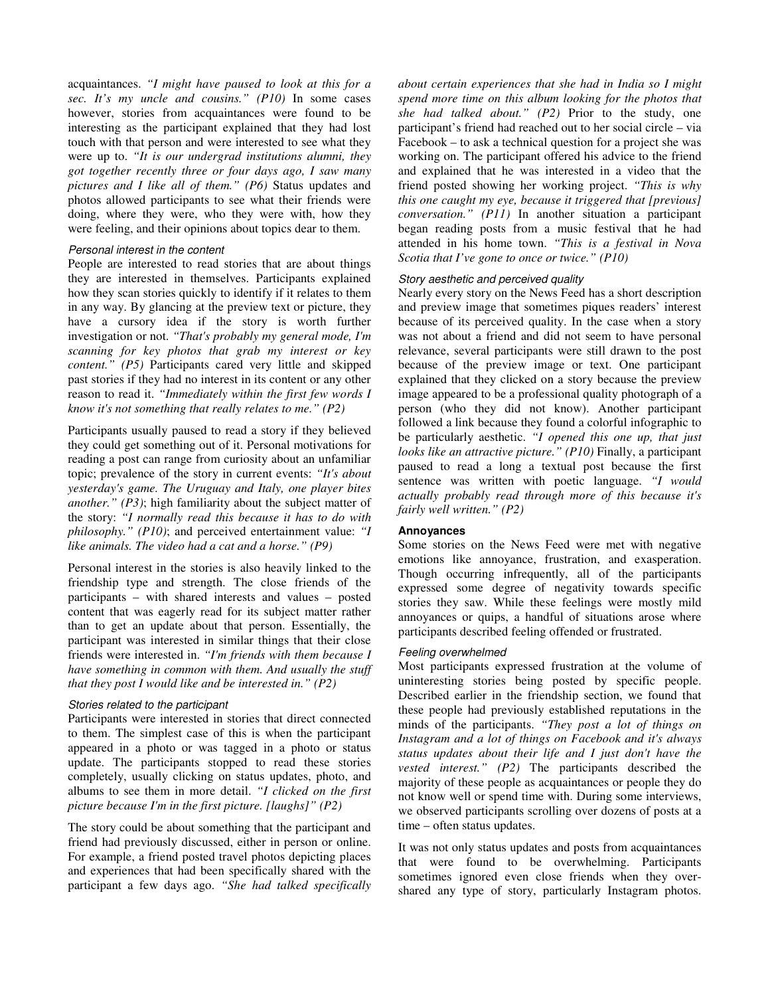acquaintances. *"I might have paused to look at this for a sec. It's my uncle and cousins." (P10)* In some cases however, stories from acquaintances were found to be interesting as the participant explained that they had lost touch with that person and were interested to see what they were up to. *"It is our undergrad institutions alumni, they got together recently three or four days ago, I saw many pictures and I like all of them." (P6)* Status updates and photos allowed participants to see what their friends were doing, where they were, who they were with, how they were feeling, and their opinions about topics dear to them.

# Personal interest in the content

People are interested to read stories that are about things they are interested in themselves. Participants explained how they scan stories quickly to identify if it relates to them in any way. By glancing at the preview text or picture, they have a cursory idea if the story is worth further investigation or not. *"That's probably my general mode, I'm scanning for key photos that grab my interest or key content." (P5)* Participants cared very little and skipped past stories if they had no interest in its content or any other reason to read it. *"Immediately within the first few words I know it's not something that really relates to me." (P2)*

Participants usually paused to read a story if they believed they could get something out of it. Personal motivations for reading a post can range from curiosity about an unfamiliar topic; prevalence of the story in current events: *"It's about yesterday's game. The Uruguay and Italy, one player bites another." (P3)*; high familiarity about the subject matter of the story: *"I normally read this because it has to do with philosophy." (P10)*; and perceived entertainment value: *"I like animals. The video had a cat and a horse." (P9)*

Personal interest in the stories is also heavily linked to the friendship type and strength. The close friends of the participants – with shared interests and values – posted content that was eagerly read for its subject matter rather than to get an update about that person. Essentially, the participant was interested in similar things that their close friends were interested in. *"I'm friends with them because I have something in common with them. And usually the stuff that they post I would like and be interested in." (P2)*

# Stories related to the participant

Participants were interested in stories that direct connected to them. The simplest case of this is when the participant appeared in a photo or was tagged in a photo or status update. The participants stopped to read these stories completely, usually clicking on status updates, photo, and albums to see them in more detail. *"I clicked on the first picture because I'm in the first picture. [laughs]" (P2)*

The story could be about something that the participant and friend had previously discussed, either in person or online. For example, a friend posted travel photos depicting places and experiences that had been specifically shared with the participant a few days ago. *"She had talked specifically*  *about certain experiences that she had in India so I might spend more time on this album looking for the photos that she had talked about." (P2)* Prior to the study, one participant's friend had reached out to her social circle – via Facebook – to ask a technical question for a project she was working on. The participant offered his advice to the friend and explained that he was interested in a video that the friend posted showing her working project. *"This is why this one caught my eye, because it triggered that [previous] conversation." (P11)* In another situation a participant began reading posts from a music festival that he had attended in his home town. *"This is a festival in Nova Scotia that I've gone to once or twice." (P10)* 

# Story aesthetic and perceived quality

Nearly every story on the News Feed has a short description and preview image that sometimes piques readers' interest because of its perceived quality. In the case when a story was not about a friend and did not seem to have personal relevance, several participants were still drawn to the post because of the preview image or text. One participant explained that they clicked on a story because the preview image appeared to be a professional quality photograph of a person (who they did not know). Another participant followed a link because they found a colorful infographic to be particularly aesthetic. *"I opened this one up, that just looks like an attractive picture." (P10)* Finally, a participant paused to read a long a textual post because the first sentence was written with poetic language. *"I would actually probably read through more of this because it's fairly well written." (P2)* 

# **Annoyances**

Some stories on the News Feed were met with negative emotions like annoyance, frustration, and exasperation. Though occurring infrequently, all of the participants expressed some degree of negativity towards specific stories they saw. While these feelings were mostly mild annoyances or quips, a handful of situations arose where participants described feeling offended or frustrated.

#### Feeling overwhelmed

Most participants expressed frustration at the volume of uninteresting stories being posted by specific people. Described earlier in the friendship section, we found that these people had previously established reputations in the minds of the participants. *"They post a lot of things on Instagram and a lot of things on Facebook and it's always status updates about their life and I just don't have the vested interest." (P2)* The participants described the majority of these people as acquaintances or people they do not know well or spend time with. During some interviews, we observed participants scrolling over dozens of posts at a time – often status updates.

It was not only status updates and posts from acquaintances that were found to be overwhelming. Participants sometimes ignored even close friends when they overshared any type of story, particularly Instagram photos.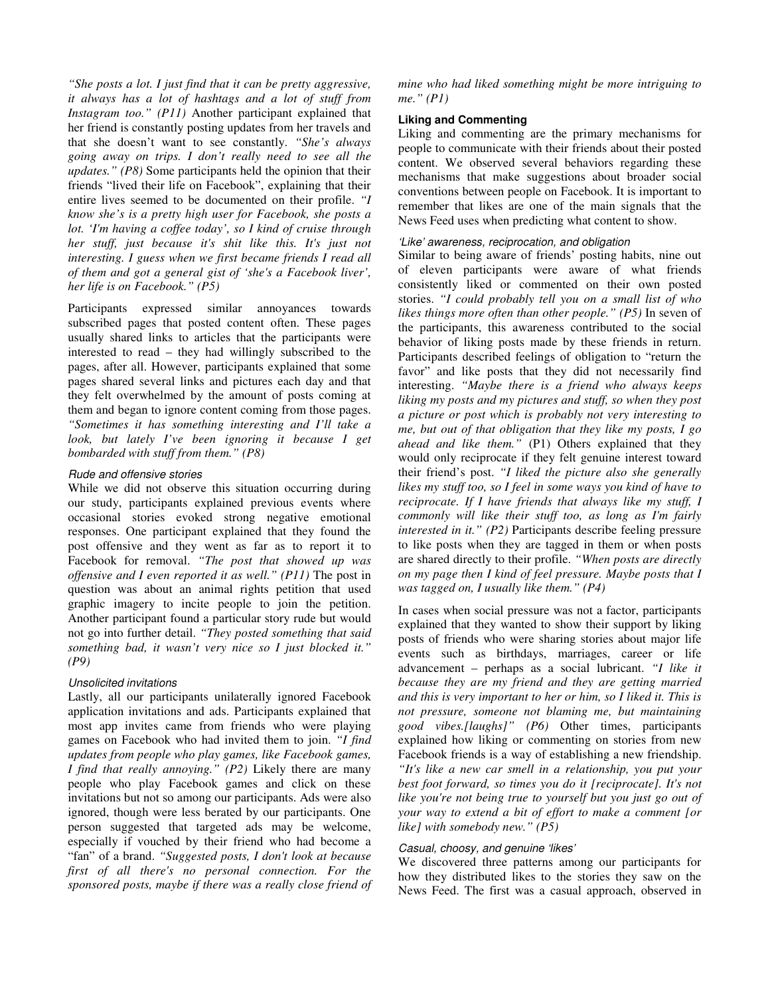*"She posts a lot. I just find that it can be pretty aggressive, it always has a lot of hashtags and a lot of stuff from Instagram too." (P11)* Another participant explained that her friend is constantly posting updates from her travels and that she doesn't want to see constantly. *"She's always going away on trips. I don't really need to see all the updates." (P8)* Some participants held the opinion that their friends "lived their life on Facebook", explaining that their entire lives seemed to be documented on their profile. *"I know she's is a pretty high user for Facebook, she posts a lot. 'I'm having a coffee today', so I kind of cruise through her stuff, just because it's shit like this. It's just not interesting. I guess when we first became friends I read all of them and got a general gist of 'she's a Facebook liver', her life is on Facebook." (P5)*

Participants expressed similar annoyances towards subscribed pages that posted content often. These pages usually shared links to articles that the participants were interested to read – they had willingly subscribed to the pages, after all. However, participants explained that some pages shared several links and pictures each day and that they felt overwhelmed by the amount of posts coming at them and began to ignore content coming from those pages. *"Sometimes it has something interesting and I'll take a look, but lately I've been ignoring it because I get bombarded with stuff from them." (P8)*

#### Rude and offensive stories

While we did not observe this situation occurring during our study, participants explained previous events where occasional stories evoked strong negative emotional responses. One participant explained that they found the post offensive and they went as far as to report it to Facebook for removal. *"The post that showed up was offensive and I even reported it as well." (P11)* The post in question was about an animal rights petition that used graphic imagery to incite people to join the petition. Another participant found a particular story rude but would not go into further detail. *"They posted something that said something bad, it wasn't very nice so I just blocked it." (P9)*

# Unsolicited invitations

Lastly, all our participants unilaterally ignored Facebook application invitations and ads. Participants explained that most app invites came from friends who were playing games on Facebook who had invited them to join. *"I find updates from people who play games, like Facebook games, I find that really annoying." (P2)* Likely there are many people who play Facebook games and click on these invitations but not so among our participants. Ads were also ignored, though were less berated by our participants. One person suggested that targeted ads may be welcome, especially if vouched by their friend who had become a "fan" of a brand. *"Suggested posts, I don't look at because first of all there's no personal connection. For the sponsored posts, maybe if there was a really close friend of*  *mine who had liked something might be more intriguing to me." (P1)* 

# **Liking and Commenting**

Liking and commenting are the primary mechanisms for people to communicate with their friends about their posted content. We observed several behaviors regarding these mechanisms that make suggestions about broader social conventions between people on Facebook. It is important to remember that likes are one of the main signals that the News Feed uses when predicting what content to show.

# 'Like' awareness, reciprocation, and obligation

Similar to being aware of friends' posting habits, nine out of eleven participants were aware of what friends consistently liked or commented on their own posted stories. *"I could probably tell you on a small list of who likes things more often than other people." (P5)* In seven of the participants, this awareness contributed to the social behavior of liking posts made by these friends in return. Participants described feelings of obligation to "return the favor" and like posts that they did not necessarily find interesting. *"Maybe there is a friend who always keeps liking my posts and my pictures and stuff, so when they post a picture or post which is probably not very interesting to me, but out of that obligation that they like my posts, I go ahead and like them."* (P1) Others explained that they would only reciprocate if they felt genuine interest toward their friend's post. *"I liked the picture also she generally likes my stuff too, so I feel in some ways you kind of have to reciprocate. If I have friends that always like my stuff, I commonly will like their stuff too, as long as I'm fairly interested in it." (P2)* Participants describe feeling pressure to like posts when they are tagged in them or when posts are shared directly to their profile. *"When posts are directly on my page then I kind of feel pressure. Maybe posts that I was tagged on, I usually like them." (P4)*

In cases when social pressure was not a factor, participants explained that they wanted to show their support by liking posts of friends who were sharing stories about major life events such as birthdays, marriages, career or life advancement – perhaps as a social lubricant. *"I like it because they are my friend and they are getting married and this is very important to her or him, so I liked it. This is not pressure, someone not blaming me, but maintaining good vibes.[laughs]" (P6)* Other times, participants explained how liking or commenting on stories from new Facebook friends is a way of establishing a new friendship. *"It's like a new car smell in a relationship, you put your best foot forward, so times you do it [reciprocate]. It's not like you're not being true to yourself but you just go out of your way to extend a bit of effort to make a comment [or like] with somebody new." (P5)*

# Casual, choosy, and genuine 'likes'

We discovered three patterns among our participants for how they distributed likes to the stories they saw on the News Feed. The first was a casual approach, observed in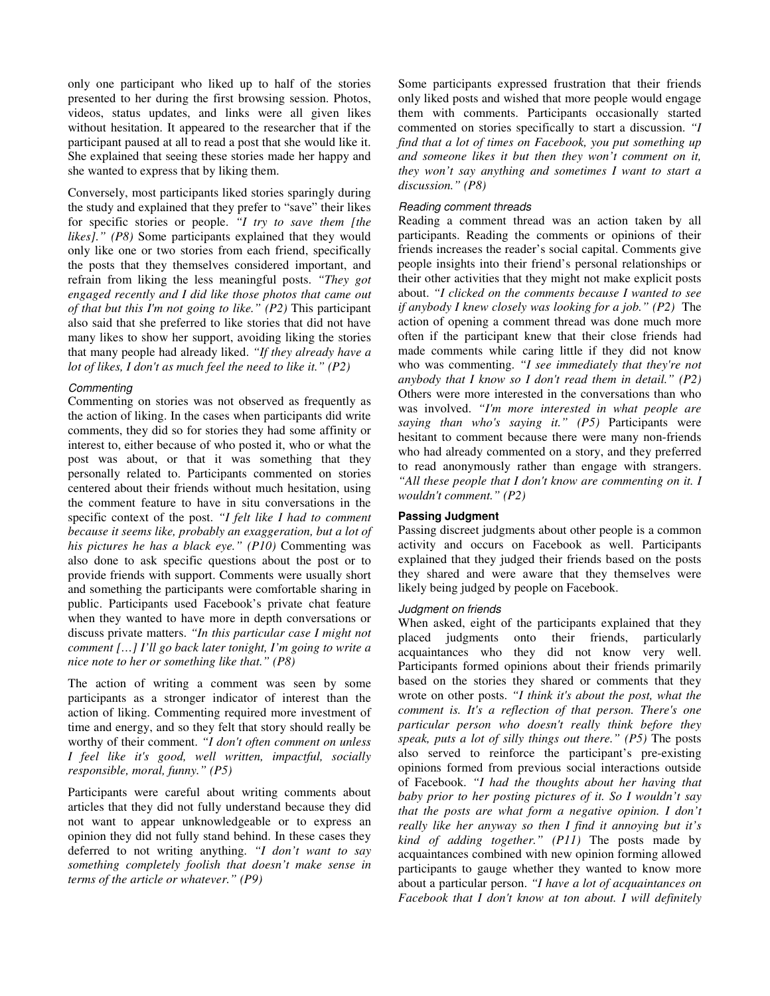only one participant who liked up to half of the stories presented to her during the first browsing session. Photos, videos, status updates, and links were all given likes without hesitation. It appeared to the researcher that if the participant paused at all to read a post that she would like it. She explained that seeing these stories made her happy and she wanted to express that by liking them.

Conversely, most participants liked stories sparingly during the study and explained that they prefer to "save" their likes for specific stories or people. *"I try to save them [the likes]." (P8)* Some participants explained that they would only like one or two stories from each friend, specifically the posts that they themselves considered important, and refrain from liking the less meaningful posts. *"They got engaged recently and I did like those photos that came out of that but this I'm not going to like." (P2)* This participant also said that she preferred to like stories that did not have many likes to show her support, avoiding liking the stories that many people had already liked. *"If they already have a lot of likes, I don't as much feel the need to like it." (P2)* 

# **Commenting**

Commenting on stories was not observed as frequently as the action of liking. In the cases when participants did write comments, they did so for stories they had some affinity or interest to, either because of who posted it, who or what the post was about, or that it was something that they personally related to. Participants commented on stories centered about their friends without much hesitation, using the comment feature to have in situ conversations in the specific context of the post. *"I felt like I had to comment because it seems like, probably an exaggeration, but a lot of his pictures he has a black eye." (P10)* Commenting was also done to ask specific questions about the post or to provide friends with support. Comments were usually short and something the participants were comfortable sharing in public. Participants used Facebook's private chat feature when they wanted to have more in depth conversations or discuss private matters. *"In this particular case I might not comment […] I'll go back later tonight, I'm going to write a nice note to her or something like that." (P8)*

The action of writing a comment was seen by some participants as a stronger indicator of interest than the action of liking. Commenting required more investment of time and energy, and so they felt that story should really be worthy of their comment. *"I don't often comment on unless I feel like it's good, well written, impactful, socially responsible, moral, funny." (P5)*

Participants were careful about writing comments about articles that they did not fully understand because they did not want to appear unknowledgeable or to express an opinion they did not fully stand behind. In these cases they deferred to not writing anything. *"I don't want to say something completely foolish that doesn't make sense in terms of the article or whatever." (P9)*

Some participants expressed frustration that their friends only liked posts and wished that more people would engage them with comments. Participants occasionally started commented on stories specifically to start a discussion. *"I find that a lot of times on Facebook, you put something up and someone likes it but then they won't comment on it, they won't say anything and sometimes I want to start a discussion." (P8)*

# Reading comment threads

Reading a comment thread was an action taken by all participants. Reading the comments or opinions of their friends increases the reader's social capital. Comments give people insights into their friend's personal relationships or their other activities that they might not make explicit posts about. *"I clicked on the comments because I wanted to see if anybody I knew closely was looking for a job." (P2)* The action of opening a comment thread was done much more often if the participant knew that their close friends had made comments while caring little if they did not know who was commenting. *"I see immediately that they're not anybody that I know so I don't read them in detail." (P2)* Others were more interested in the conversations than who was involved. *"I'm more interested in what people are saying than who's saying it." (P5)* Participants were hesitant to comment because there were many non-friends who had already commented on a story, and they preferred to read anonymously rather than engage with strangers. *"All these people that I don't know are commenting on it. I wouldn't comment." (P2)*

# **Passing Judgment**

Passing discreet judgments about other people is a common activity and occurs on Facebook as well. Participants explained that they judged their friends based on the posts they shared and were aware that they themselves were likely being judged by people on Facebook.

#### Judgment on friends

When asked, eight of the participants explained that they placed judgments onto their friends, particularly acquaintances who they did not know very well. Participants formed opinions about their friends primarily based on the stories they shared or comments that they wrote on other posts. *"I think it's about the post, what the comment is. It's a reflection of that person. There's one particular person who doesn't really think before they speak, puts a lot of silly things out there." (P5)* The posts also served to reinforce the participant's pre-existing opinions formed from previous social interactions outside of Facebook. *"I had the thoughts about her having that baby prior to her posting pictures of it. So I wouldn't say that the posts are what form a negative opinion. I don't really like her anyway so then I find it annoying but it's kind of adding together." (P11)* The posts made by acquaintances combined with new opinion forming allowed participants to gauge whether they wanted to know more about a particular person. *"I have a lot of acquaintances on Facebook that I don't know at ton about. I will definitely*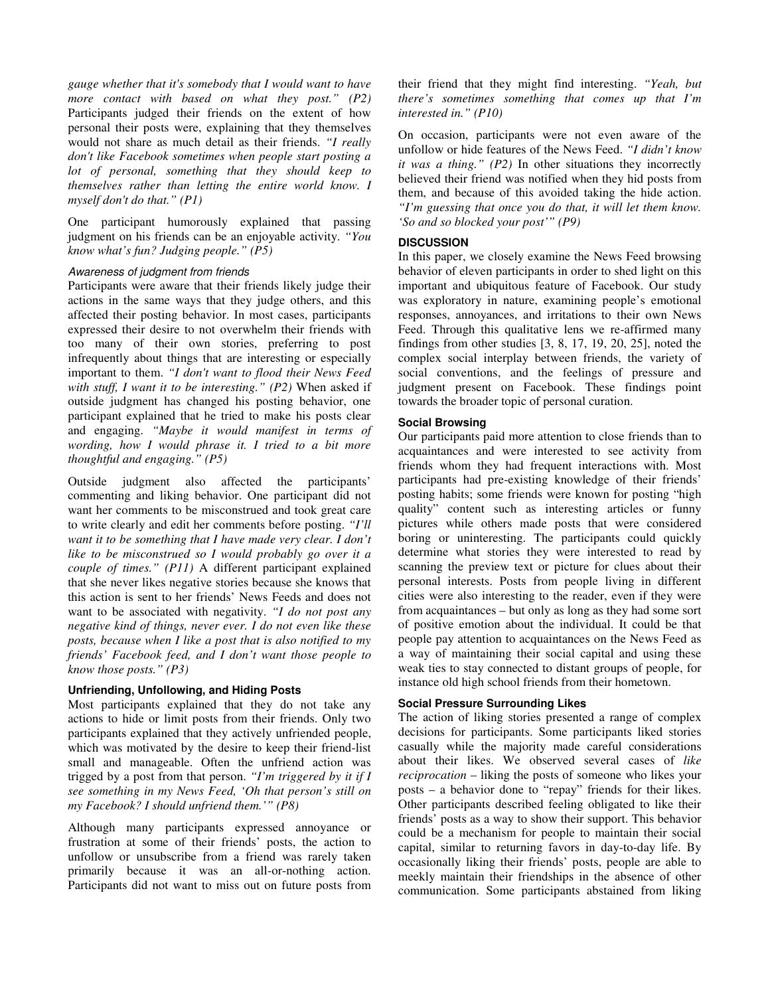*gauge whether that it's somebody that I would want to have more contact with based on what they post." (P2)*  Participants judged their friends on the extent of how personal their posts were, explaining that they themselves would not share as much detail as their friends. *"I really don't like Facebook sometimes when people start posting a lot of personal, something that they should keep to themselves rather than letting the entire world know. I myself don't do that." (P1)* 

One participant humorously explained that passing judgment on his friends can be an enjoyable activity. *"You know what's fun? Judging people." (P5)* 

#### Awareness of judgment from friends

Participants were aware that their friends likely judge their actions in the same ways that they judge others, and this affected their posting behavior. In most cases, participants expressed their desire to not overwhelm their friends with too many of their own stories, preferring to post infrequently about things that are interesting or especially important to them. *"I don't want to flood their News Feed with stuff, I want it to be interesting." (P2)* When asked if outside judgment has changed his posting behavior, one participant explained that he tried to make his posts clear and engaging. *"Maybe it would manifest in terms of wording, how I would phrase it. I tried to a bit more thoughtful and engaging." (P5)* 

Outside judgment also affected the participants' commenting and liking behavior. One participant did not want her comments to be misconstrued and took great care to write clearly and edit her comments before posting. *"I'll want it to be something that I have made very clear. I don't like to be misconstrued so I would probably go over it a couple of times." (P11)* A different participant explained that she never likes negative stories because she knows that this action is sent to her friends' News Feeds and does not want to be associated with negativity. *"I do not post any negative kind of things, never ever. I do not even like these posts, because when I like a post that is also notified to my friends' Facebook feed, and I don't want those people to know those posts." (P3)*

#### **Unfriending, Unfollowing, and Hiding Posts**

Most participants explained that they do not take any actions to hide or limit posts from their friends. Only two participants explained that they actively unfriended people, which was motivated by the desire to keep their friend-list small and manageable. Often the unfriend action was trigged by a post from that person. *"I'm triggered by it if I see something in my News Feed, 'Oh that person's still on my Facebook? I should unfriend them.'" (P8)* 

Although many participants expressed annoyance or frustration at some of their friends' posts, the action to unfollow or unsubscribe from a friend was rarely taken primarily because it was an all-or-nothing action. Participants did not want to miss out on future posts from their friend that they might find interesting. *"Yeah, but there's sometimes something that comes up that I'm interested in." (P10)*

On occasion, participants were not even aware of the unfollow or hide features of the News Feed. *"I didn't know it was a thing." (P2)* In other situations they incorrectly believed their friend was notified when they hid posts from them, and because of this avoided taking the hide action. *"I'm guessing that once you do that, it will let them know. 'So and so blocked your post'" (P9)*

# **DISCUSSION**

In this paper, we closely examine the News Feed browsing behavior of eleven participants in order to shed light on this important and ubiquitous feature of Facebook. Our study was exploratory in nature, examining people's emotional responses, annoyances, and irritations to their own News Feed. Through this qualitative lens we re-affirmed many findings from other studies [3, 8, 17, 19, 20, 25], noted the complex social interplay between friends, the variety of social conventions, and the feelings of pressure and judgment present on Facebook. These findings point towards the broader topic of personal curation.

# **Social Browsing**

Our participants paid more attention to close friends than to acquaintances and were interested to see activity from friends whom they had frequent interactions with. Most participants had pre-existing knowledge of their friends' posting habits; some friends were known for posting "high quality" content such as interesting articles or funny pictures while others made posts that were considered boring or uninteresting. The participants could quickly determine what stories they were interested to read by scanning the preview text or picture for clues about their personal interests. Posts from people living in different cities were also interesting to the reader, even if they were from acquaintances – but only as long as they had some sort of positive emotion about the individual. It could be that people pay attention to acquaintances on the News Feed as a way of maintaining their social capital and using these weak ties to stay connected to distant groups of people, for instance old high school friends from their hometown.

# **Social Pressure Surrounding Likes**

The action of liking stories presented a range of complex decisions for participants. Some participants liked stories casually while the majority made careful considerations about their likes. We observed several cases of *like reciprocation* – liking the posts of someone who likes your posts – a behavior done to "repay" friends for their likes. Other participants described feeling obligated to like their friends' posts as a way to show their support. This behavior could be a mechanism for people to maintain their social capital, similar to returning favors in day-to-day life. By occasionally liking their friends' posts, people are able to meekly maintain their friendships in the absence of other communication. Some participants abstained from liking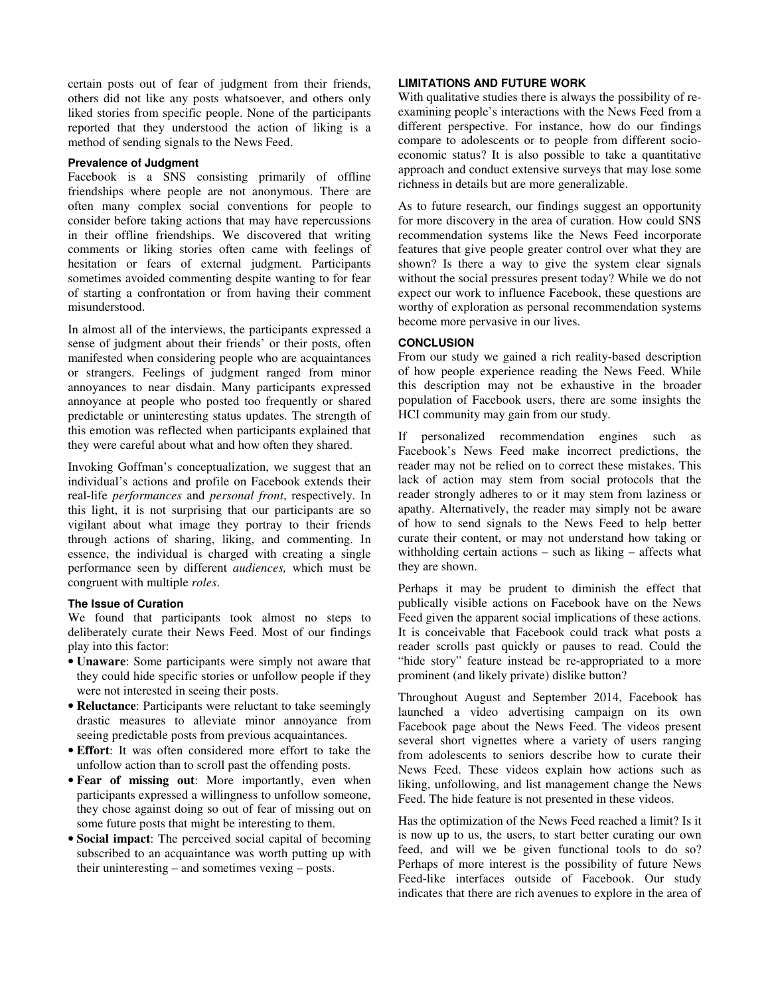certain posts out of fear of judgment from their friends, others did not like any posts whatsoever, and others only liked stories from specific people. None of the participants reported that they understood the action of liking is a method of sending signals to the News Feed.

#### **Prevalence of Judgment**

Facebook is a SNS consisting primarily of offline friendships where people are not anonymous. There are often many complex social conventions for people to consider before taking actions that may have repercussions in their offline friendships. We discovered that writing comments or liking stories often came with feelings of hesitation or fears of external judgment. Participants sometimes avoided commenting despite wanting to for fear of starting a confrontation or from having their comment misunderstood.

In almost all of the interviews, the participants expressed a sense of judgment about their friends' or their posts, often manifested when considering people who are acquaintances or strangers. Feelings of judgment ranged from minor annoyances to near disdain. Many participants expressed annoyance at people who posted too frequently or shared predictable or uninteresting status updates. The strength of this emotion was reflected when participants explained that they were careful about what and how often they shared.

Invoking Goffman's conceptualization, we suggest that an individual's actions and profile on Facebook extends their real-life *performances* and *personal front*, respectively. In this light, it is not surprising that our participants are so vigilant about what image they portray to their friends through actions of sharing, liking, and commenting. In essence, the individual is charged with creating a single performance seen by different *audiences,* which must be congruent with multiple *roles*.

#### **The Issue of Curation**

We found that participants took almost no steps to deliberately curate their News Feed. Most of our findings play into this factor:

- **Unaware**: Some participants were simply not aware that they could hide specific stories or unfollow people if they were not interested in seeing their posts.
- **Reluctance**: Participants were reluctant to take seemingly drastic measures to alleviate minor annoyance from seeing predictable posts from previous acquaintances.
- **Effort**: It was often considered more effort to take the unfollow action than to scroll past the offending posts.
- **Fear of missing out**: More importantly, even when participants expressed a willingness to unfollow someone, they chose against doing so out of fear of missing out on some future posts that might be interesting to them.
- **Social impact**: The perceived social capital of becoming subscribed to an acquaintance was worth putting up with their uninteresting – and sometimes vexing – posts.

# **LIMITATIONS AND FUTURE WORK**

With qualitative studies there is always the possibility of reexamining people's interactions with the News Feed from a different perspective. For instance, how do our findings compare to adolescents or to people from different socioeconomic status? It is also possible to take a quantitative approach and conduct extensive surveys that may lose some richness in details but are more generalizable.

As to future research, our findings suggest an opportunity for more discovery in the area of curation. How could SNS recommendation systems like the News Feed incorporate features that give people greater control over what they are shown? Is there a way to give the system clear signals without the social pressures present today? While we do not expect our work to influence Facebook, these questions are worthy of exploration as personal recommendation systems become more pervasive in our lives.

#### **CONCLUSION**

From our study we gained a rich reality-based description of how people experience reading the News Feed. While this description may not be exhaustive in the broader population of Facebook users, there are some insights the HCI community may gain from our study.

If personalized recommendation engines such as Facebook's News Feed make incorrect predictions, the reader may not be relied on to correct these mistakes. This lack of action may stem from social protocols that the reader strongly adheres to or it may stem from laziness or apathy. Alternatively, the reader may simply not be aware of how to send signals to the News Feed to help better curate their content, or may not understand how taking or withholding certain actions – such as liking – affects what they are shown.

Perhaps it may be prudent to diminish the effect that publically visible actions on Facebook have on the News Feed given the apparent social implications of these actions. It is conceivable that Facebook could track what posts a reader scrolls past quickly or pauses to read. Could the "hide story" feature instead be re-appropriated to a more prominent (and likely private) dislike button?

Throughout August and September 2014, Facebook has launched a video advertising campaign on its own Facebook page about the News Feed. The videos present several short vignettes where a variety of users ranging from adolescents to seniors describe how to curate their News Feed. These videos explain how actions such as liking, unfollowing, and list management change the News Feed. The hide feature is not presented in these videos.

Has the optimization of the News Feed reached a limit? Is it is now up to us, the users, to start better curating our own feed, and will we be given functional tools to do so? Perhaps of more interest is the possibility of future News Feed-like interfaces outside of Facebook. Our study indicates that there are rich avenues to explore in the area of